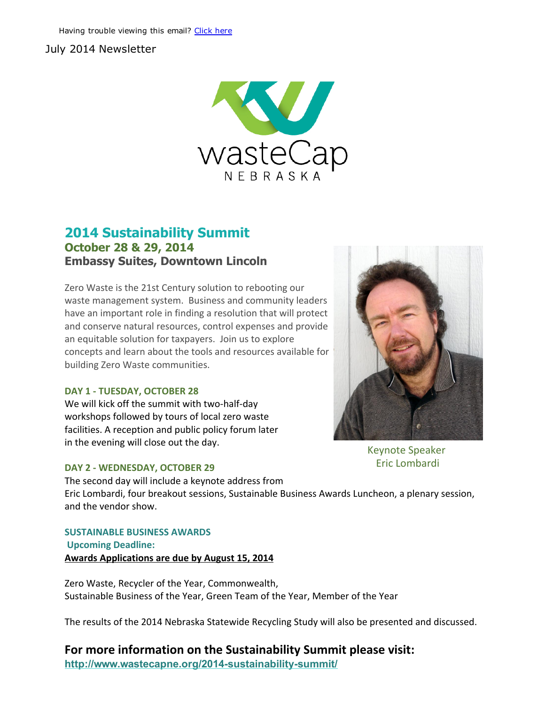### July 2014 Newsletter



### 2014 Sustainability Summit October 28 & 29, 2014 Embassy Suites, Downtown Lincoln

Zero Waste is the 21st Century solution to rebooting our waste management system. Business and community leaders have an important role in finding a resolution that will protect and conserve natural resources, control expenses and provide an equitable solution for taxpayers. Join us to explore concepts and learn about the tools and resources available for building Zero Waste communities.

#### DAY 1 ‐ TUESDAY, OCTOBER 28

We will kick off the summit with two-half-day workshops followed by tours of local zero waste facilities. A reception and public policy forum later in the evening will close out the day.

The second day will include a keynote address from

#### DAY 2 ‐ WEDNESDAY, OCTOBER 29



Keynote Speaker Eric Lombardi

Eric Lombardi, four breakout sessions, Sustainable Business Awards Luncheon, a plenary session, and the vendor show.

SUSTAINABLE BUSINESS AWARDS Upcoming Deadline: Awards Applications are due by August 15, 2014

Zero Waste, Recycler of the Year, Commonwealth, Sustainable Business of the Year, Green Team of the Year, Member of the Year

The results of the 2014 Nebraska Statewide Recycling Study will also be presented and discussed.

### For more information on the Sustainability Summit please visit:

http://www.wastecapne.org/2014-sustainability-summit/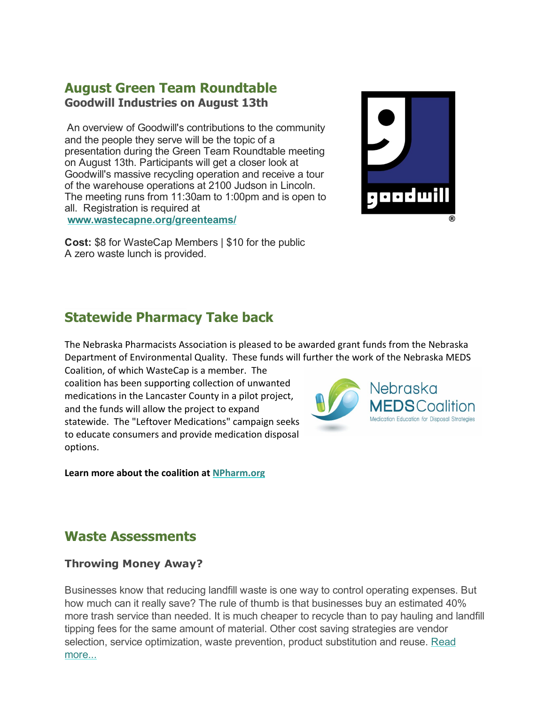## August Green Team Roundtable Goodwill Industries on August 13th

An overview of Goodwill's contributions to the community and the people they serve will be the topic of a presentation during the Green Team Roundtable meeting on August 13th. Participants will get a closer look at Goodwill's massive recycling operation and receive a tour of the warehouse operations at 2100 Judson in Lincoln. The meeting runs from 11:30am to 1:00pm and is open to all. Registration is required at www.wastecapne.org/greenteams/



Cost: \$8 for WasteCap Members | \$10 for the public A zero waste lunch is provided.

# Statewide Pharmacy Take back

The Nebraska Pharmacists Association is pleased to be awarded grant funds from the Nebraska Department of Environmental Quality. These funds will further the work of the Nebraska MEDS

Coalition, of which WasteCap is a member. The coalition has been supporting collection of unwanted medications in the Lancaster County in a pilot project, and the funds will allow the project to expand statewide. The "Leftover Medications" campaign seeks to educate consumers and provide medication disposal options.

Learn more about the coalition at [NPharm.org](http://r20.rs6.net/tn.jsp?e=001JtyMUwJA9EgeJEtXmjr_VFskm69gYHzGNMqeKnWbKT1Obh0Y2Bxidpu2_htaJ_yAYdDzFw6VgY_GyWYGQoJ1VK9OKI9kZfoIW7X8pVg58RFZtRaQSP9JBw==)



## Waste Assessments

### Throwing Money Away?

Businesses know that reducing landfill waste is one way to control operating expenses. But how much can it really save? The rule of thumb is that businesses buy an estimated 40% more trash service than needed. It is much cheaper to recycle than to pay hauling and landfill tipping fees for the same amount of material. Other cost saving strategies are vendor selection, service [optimization,](http://r20.rs6.net/tn.jsp?e=001JtyMUwJA9EgeJEtXmjr_VFskm69gYHzGNMqeKnWbKT1Obh0Y2Bxidpu2_htaJ_yAYdDzFw6VgY-BIJHNI0Hn0tdOYU1Fdk4w-dZCu6qfg_PeKcuG9ZK1rCdjkV2_xhLY9zByN1ZoaUY=) waste prevention, product substitution and reuse. Read more...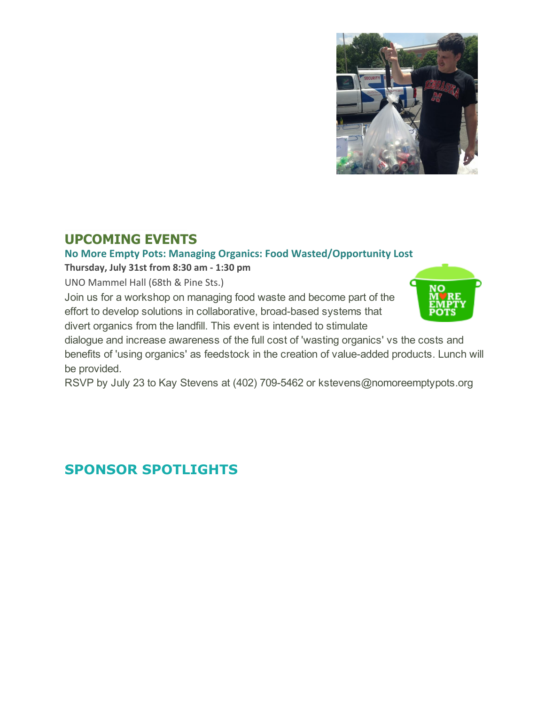

# UPCOMING EVENTS

### No More Empty Pots: Managing Organics: Food Wasted/Opportunity Lost

Thursday, July 31st from 8:30 am ‐ 1:30 pm

UNO Mammel Hall (68th & Pine Sts.)

Join us for a workshop on managing food waste and become part of the effort to develop solutions in collaborative, broad-based systems that divert organics from the landfill. This event is intended to stimulate



dialogue and increase awareness of the full cost of 'wasting organics' vs the costs and benefits of 'using organics' as feedstock in the creation of value-added products. Lunch will be provided.

RSVP by July 23 to Kay Stevens at (402) 709-5462 or kstevens@nomoreemptypots.org

# SPONSOR SPOTLIGHTS